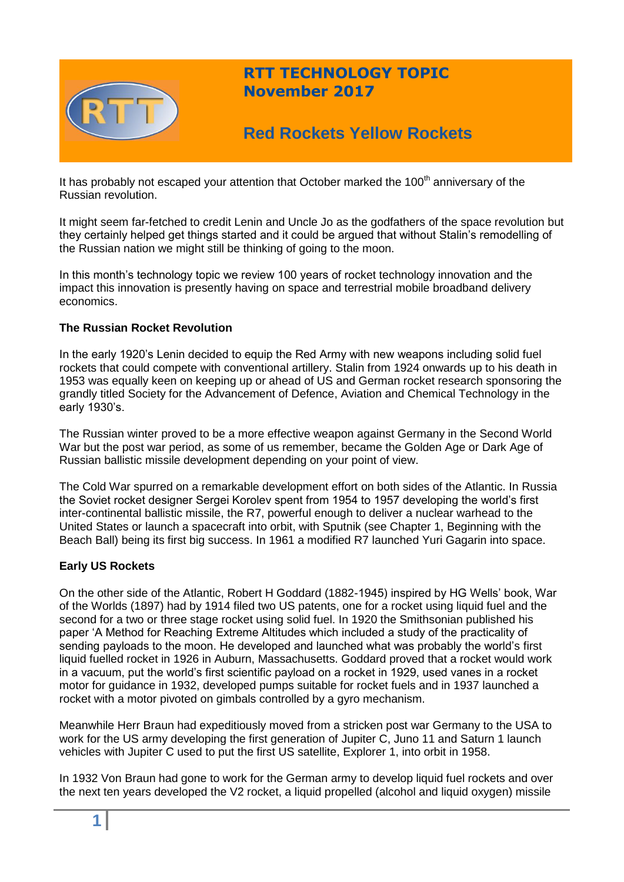

It has probably not escaped your attention that October marked the  $100<sup>th</sup>$  anniversary of the Russian revolution.

It might seem far-fetched to credit Lenin and Uncle Jo as the godfathers of the space revolution but they certainly helped get things started and it could be argued that without Stalin's remodelling of the Russian nation we might still be thinking of going to the moon.

In this month's technology topic we review 100 years of rocket technology innovation and the impact this innovation is presently having on space and terrestrial mobile broadband delivery economics.

### **The Russian Rocket Revolution**

In the early 1920's Lenin decided to equip the Red Army with new weapons including solid fuel rockets that could compete with conventional artillery. Stalin from 1924 onwards up to his death in 1953 was equally keen on keeping up or ahead of US and German rocket research sponsoring the grandly titled Society for the Advancement of Defence, Aviation and Chemical Technology in the early 1930's.

The Russian winter proved to be a more effective weapon against Germany in the Second World War but the post war period, as some of us remember, became the Golden Age or Dark Age of Russian ballistic missile development depending on your point of view.

The Cold War spurred on a remarkable development effort on both sides of the Atlantic. In Russia the Soviet rocket designer Sergei Korolev spent from 1954 to 1957 developing the world's first inter-continental ballistic missile, the R7, powerful enough to deliver a nuclear warhead to the United States or launch a spacecraft into orbit, with Sputnik (see Chapter 1, Beginning with the Beach Ball) being its first big success. In 1961 a modified R7 launched Yuri Gagarin into space.

### **Early US Rockets**

On the other side of the Atlantic, Robert H Goddard (1882-1945) inspired by HG Wells' book, War of the Worlds (1897) had by 1914 filed two US patents, one for a rocket using liquid fuel and the second for a two or three stage rocket using solid fuel. In 1920 the Smithsonian published his paper 'A Method for Reaching Extreme Altitudes which included a study of the practicality of sending payloads to the moon. He developed and launched what was probably the world's first liquid fuelled rocket in 1926 in Auburn, Massachusetts. Goddard proved that a rocket would work in a vacuum, put the world's first scientific payload on a rocket in 1929, used vanes in a rocket motor for guidance in 1932, developed pumps suitable for rocket fuels and in 1937 launched a rocket with a motor pivoted on gimbals controlled by a gyro mechanism.

Meanwhile Herr Braun had expeditiously moved from a stricken post war Germany to the USA to work for the US army developing the first generation of Jupiter C, Juno 11 and Saturn 1 launch vehicles with Jupiter C used to put the first US satellite, Explorer 1, into orbit in 1958.

In 1932 Von Braun had gone to work for the German army to develop liquid fuel rockets and over the next ten years developed the V2 rocket, a liquid propelled (alcohol and liquid oxygen) missile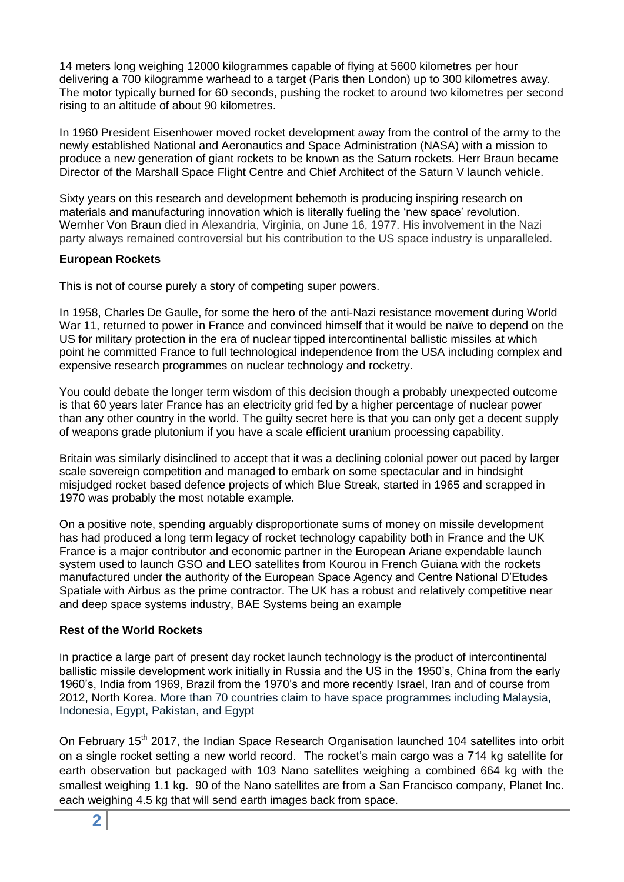14 meters long weighing 12000 kilogrammes capable of flying at 5600 kilometres per hour delivering a 700 kilogramme warhead to a target (Paris then London) up to 300 kilometres away. The motor typically burned for 60 seconds, pushing the rocket to around two kilometres per second rising to an altitude of about 90 kilometres.

In 1960 President Eisenhower moved rocket development away from the control of the army to the newly established National and Aeronautics and Space Administration (NASA) with a mission to produce a new generation of giant rockets to be known as the Saturn rockets. Herr Braun became Director of the Marshall Space Flight Centre and Chief Architect of the Saturn V launch vehicle.

Sixty years on this research and development behemoth is producing inspiring research on materials and manufacturing innovation which is literally fueling the 'new space' revolution. Wernher Von Braun died in Alexandria, Virginia, on June 16, 1977. His involvement in the Nazi party always remained controversial but his contribution to the US space industry is unparalleled.

### **European Rockets**

This is not of course purely a story of competing super powers.

In 1958, Charles De Gaulle, for some the hero of the anti-Nazi resistance movement during World War 11, returned to power in France and convinced himself that it would be naïve to depend on the US for military protection in the era of nuclear tipped intercontinental ballistic missiles at which point he committed France to full technological independence from the USA including complex and expensive research programmes on nuclear technology and rocketry.

You could debate the longer term wisdom of this decision though a probably unexpected outcome is that 60 years later France has an electricity grid fed by a higher percentage of nuclear power than any other country in the world. The guilty secret here is that you can only get a decent supply of weapons grade plutonium if you have a scale efficient uranium processing capability.

Britain was similarly disinclined to accept that it was a declining colonial power out paced by larger scale sovereign competition and managed to embark on some spectacular and in hindsight misjudged rocket based defence projects of which Blue Streak, started in 1965 and scrapped in 1970 was probably the most notable example.

On a positive note, spending arguably disproportionate sums of money on missile development has had produced a long term legacy of rocket technology capability both in France and the UK France is a major contributor and economic partner in the European Ariane expendable launch system used to launch GSO and LEO satellites from Kourou in French Guiana with the rockets manufactured under the authority of the European Space Agency and Centre National D'Etudes Spatiale with Airbus as the prime contractor. The UK has a robust and relatively competitive near and deep space systems industry, BAE Systems being an example

# **Rest of the World Rockets**

In practice a large part of present day rocket launch technology is the product of intercontinental ballistic missile development work initially in Russia and the US in the 1950's, China from the early 1960's, India from 1969, Brazil from the 1970's and more recently Israel, Iran and of course from 2012, North Korea. More than 70 countries claim to have space programmes including Malaysia, Indonesia, Egypt, Pakistan, and Egypt

On February 15<sup>th</sup> 2017, the Indian Space Research Organisation launched 104 satellites into orbit on a single rocket setting a new world record. The rocket's main cargo was a 714 kg satellite for earth observation but packaged with 103 Nano satellites weighing a combined 664 kg with the smallest weighing 1.1 kg. 90 of the Nano satellites are from a San Francisco company, Planet Inc. each weighing 4.5 kg that will send earth images back from space.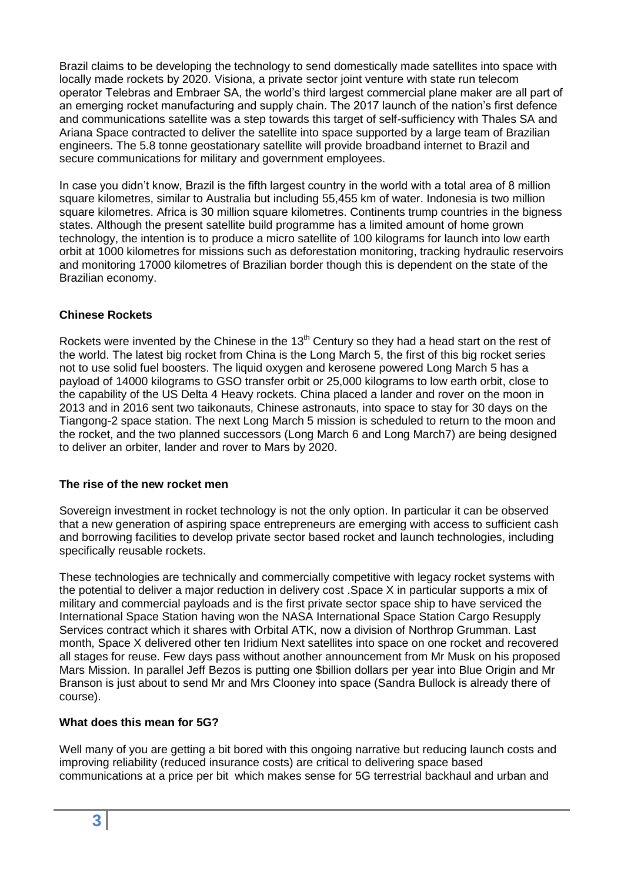Brazil claims to be developing the technology to send domestically made satellites into space with locally made rockets by 2020. Visiona, a private sector joint venture with state run telecom operator Telebras and Embraer SA, the world's third largest commercial plane maker are all part of an emerging rocket manufacturing and supply chain. The 2017 launch of the nation's first defence and communications satellite was a step towards this target of self-sufficiency with Thales SA and Ariana Space contracted to deliver the satellite into space supported by a large team of Brazilian engineers. The 5.8 tonne geostationary satellite will provide broadband internet to Brazil and secure communications for military and government employees.

In case you didn't know, Brazil is the fifth largest country in the world with a total area of 8 million square kilometres, similar to Australia but including 55,455 km of water. Indonesia is two million square kilometres. Africa is 30 million square kilometres. Continents trump countries in the bigness states. Although the present satellite build programme has a limited amount of home grown technology, the intention is to produce a micro satellite of 100 kilograms for launch into low earth orbit at 1000 kilometres for missions such as deforestation monitoring, tracking hydraulic reservoirs and monitoring 17000 kilometres of Brazilian border though this is dependent on the state of the Brazilian economy.

### **Chinese Rockets**

Rockets were invented by the Chinese in the  $13<sup>th</sup>$  Century so they had a head start on the rest of the world. The latest big rocket from China is the Long March 5, the first of this big rocket series not to use solid fuel boosters. The liquid oxygen and kerosene powered Long March 5 has a payload of 14000 kilograms to GSO transfer orbit or 25,000 kilograms to low earth orbit, close to the capability of the US Delta 4 Heavy rockets. China placed a lander and rover on the moon in 2013 and in 2016 sent two taikonauts, Chinese astronauts, into space to stay for 30 days on the Tiangong-2 space station. The next Long March 5 mission is scheduled to return to the moon and the rocket, and the two planned successors (Long March 6 and Long March7) are being designed to deliver an orbiter, lander and rover to Mars by 2020.

### **The rise of the new rocket men**

Sovereign investment in rocket technology is not the only option. In particular it can be observed that a new generation of aspiring space entrepreneurs are emerging with access to sufficient cash and borrowing facilities to develop private sector based rocket and launch technologies, including specifically reusable rockets.

These technologies are technically and commercially competitive with legacy rocket systems with the potential to deliver a major reduction in delivery cost .Space X in particular supports a mix of military and commercial payloads and is the first private sector space ship to have serviced the International Space Station having won the NASA International Space Station Cargo Resupply Services contract which it shares with Orbital ATK, now a division of Northrop Grumman. Last month, Space X delivered other ten Iridium Next satellites into space on one rocket and recovered all stages for reuse. Few days pass without another announcement from Mr Musk on his proposed Mars Mission. In parallel Jeff Bezos is putting one \$billion dollars per year into Blue Origin and Mr Branson is just about to send Mr and Mrs Clooney into space (Sandra Bullock is already there of course).

# **What does this mean for 5G?**

Well many of you are getting a bit bored with this ongoing narrative but reducing launch costs and improving reliability (reduced insurance costs) are critical to delivering space based communications at a price per bit which makes sense for 5G terrestrial backhaul and urban and